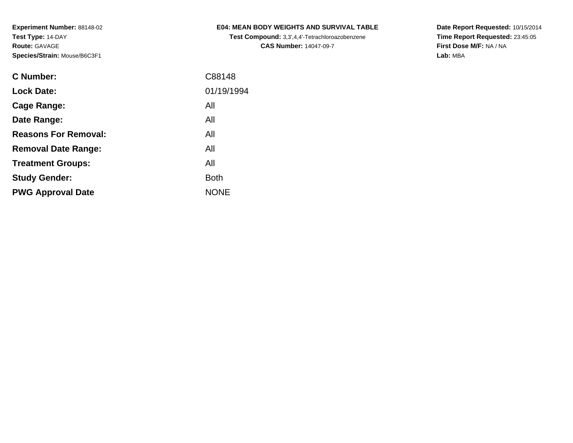**Test Compound:** 3,3',4,4'-Tetrachloroazobenzene**CAS Number:** 14047-09-7

**Date Report Requested:** 10/15/2014 **Time Report Requested:** 23:45:05**First Dose M/F:** NA / NA**Lab:** MBA

| C Number:                   | C88148      |
|-----------------------------|-------------|
| <b>Lock Date:</b>           | 01/19/1994  |
| Cage Range:                 | All         |
| Date Range:                 | All         |
| <b>Reasons For Removal:</b> | All         |
| <b>Removal Date Range:</b>  | All         |
| <b>Treatment Groups:</b>    | All         |
| <b>Study Gender:</b>        | <b>Both</b> |
| <b>PWG Approval Date</b>    | <b>NONE</b> |
|                             |             |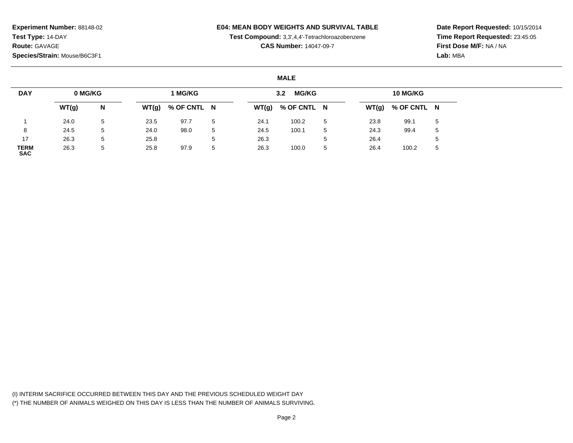### **E04: MEAN BODY WEIGHTS AND SURVIVAL TABLE**

**Test Compound:** 3,3',4,4'-Tetrachloroazobenzene

**CAS Number:** 14047-09-7

**Date Report Requested:** 10/15/2014**Time Report Requested:** 23:45:05**First Dose M/F:** NA / NA**Lab:** MBA

### **MALE**

| <b>DAY</b>                | 0 MG/KG |   |       | 1 MG/KG     |    |       | <b>MG/KG</b><br>3.2 |   |       | <b>10 MG/KG</b> |             |
|---------------------------|---------|---|-------|-------------|----|-------|---------------------|---|-------|-----------------|-------------|
|                           | WT(g)   | N | WT(g) | % OF CNTL N |    | WT(g) | % OF CNTL N         |   | WT(g) | % OF CNTL N     |             |
|                           | 24.0    | 5 | 23.5  | 97.7        | 5  | 24.1  | 100.2               | 5 | 23.8  | 99.1            | $5^{\circ}$ |
| 8                         | 24.5    | 5 | 24.0  | 98.0        | 5  | 24.5  | 100.1               | 5 | 24.3  | 99.4            | .5          |
| 17                        | 26.3    | 5 | 25.8  |             | .5 | 26.3  |                     | đ | 26.4  |                 |             |
| <b>TERM</b><br><b>SAC</b> | 26.3    | 5 | 25.8  | 97.9        | 5  | 26.3  | 100.0               | 5 | 26.4  | 100.2           | ა           |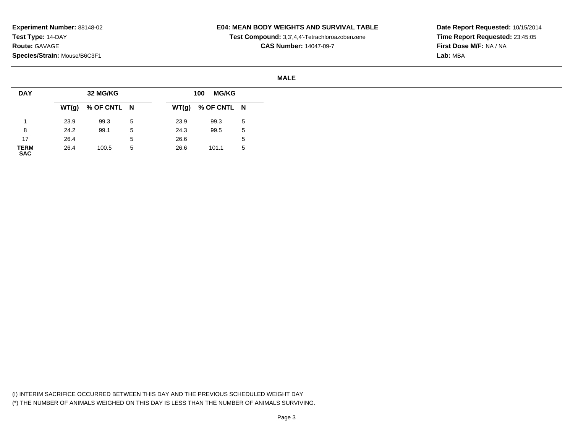## **E04: MEAN BODY WEIGHTS AND SURVIVAL TABLE**

**Test Compound:** 3,3',4,4'-Tetrachloroazobenzene

**CAS Number:** 14047-09-7

**Date Report Requested:** 10/15/2014**Time Report Requested:** 23:45:05**First Dose M/F:** NA / NA**Lab:** MBA

#### **MALE**

| <b>DAY</b>          |      | 32 MG/KG            |   |       | <b>MG/KG</b><br>100 |   |
|---------------------|------|---------------------|---|-------|---------------------|---|
|                     |      | $WT(g)$ % OF CNTL N |   | WT(g) | % OF CNTL N         |   |
|                     | 23.9 | 99.3                | 5 | 23.9  | 99.3                | 5 |
| 8                   | 24.2 | 99.1                | 5 | 24.3  | 99.5                | 5 |
| 17                  | 26.4 |                     | 5 | 26.6  |                     | 5 |
| <b>TERM<br/>SAC</b> | 26.4 | 100.5               | 5 | 26.6  | 101.1               | 5 |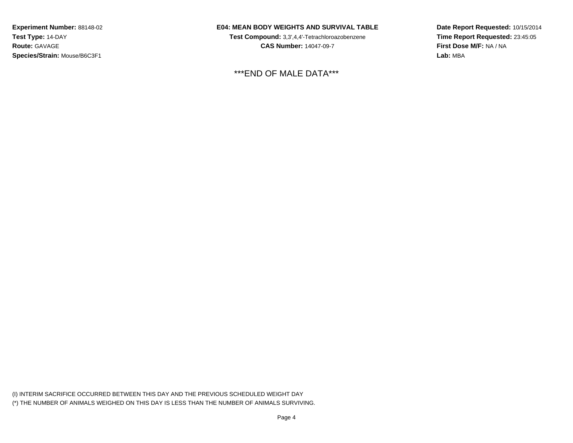## **E04: MEAN BODY WEIGHTS AND SURVIVAL TABLE**

**Test Compound:** 3,3',4,4'-Tetrachloroazobenzene**CAS Number:** 14047-09-7

\*\*\*END OF MALE DATA\*\*\*

**Date Report Requested:** 10/15/2014**Time Report Requested:** 23:45:05**First Dose M/F:** NA / NA**Lab:** MBA

(I) INTERIM SACRIFICE OCCURRED BETWEEN THIS DAY AND THE PREVIOUS SCHEDULED WEIGHT DAY(\*) THE NUMBER OF ANIMALS WEIGHED ON THIS DAY IS LESS THAN THE NUMBER OF ANIMALS SURVIVING.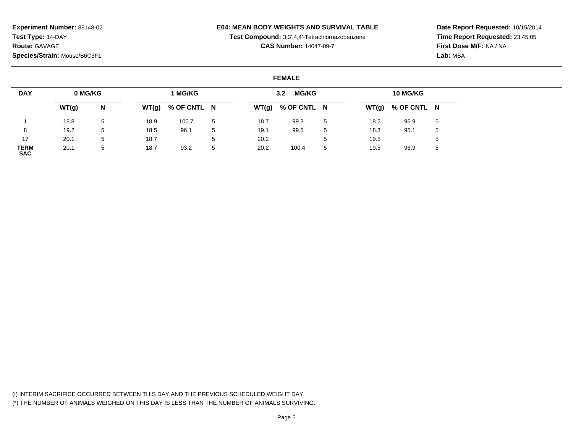## **E04: MEAN BODY WEIGHTS AND SURVIVAL TABLE**

**Test Compound:** 3,3',4,4'-Tetrachloroazobenzene

**CAS Number:** 14047-09-7

**Date Report Requested:** 10/15/2014**Time Report Requested:** 23:45:05**First Dose M/F:** NA / NA**Lab:** MBA

### **FEMALE**

| <b>DAY</b>                | 0 MG/KG |   |       | 1 MG/KG     |             |       | <b>MG/KG</b><br>3.2 <sub>2</sub> |    |      | 10 MG/KG            |   |
|---------------------------|---------|---|-------|-------------|-------------|-------|----------------------------------|----|------|---------------------|---|
|                           | WT(g)   | N | WT(g) | % OF CNTL N |             | WT(g) | % OF CNTL N                      |    |      | $WT(g)$ % OF CNTL N |   |
|                           | 18.8    | 5 | 18.9  | 100.7       | 5           | 18.7  | 99.3                             | -5 | 18.2 | 96.9                | 5 |
|                           | 19.2    | 5 | 18.5  | 96.1        | 5           | 19.1  | 99.5                             | 5  | 18.3 | 95.1                | 5 |
| 17                        | 20.1    | 5 | 18.7  |             | $5^{\circ}$ | 20.2  |                                  |    | 19.5 |                     | 5 |
| <b>TERM</b><br><b>SAC</b> | 20.1    | 5 | 18.7  | 93.2        | 5           | 20.2  | 100.4                            | 5  | 19.5 | 96.9                | 5 |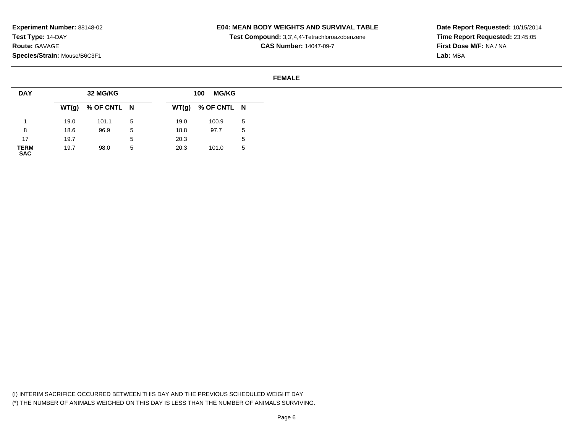## **E04: MEAN BODY WEIGHTS AND SURVIVAL TABLE**

**Test Compound:** 3,3',4,4'-Tetrachloroazobenzene

**CAS Number:** 14047-09-7

**Date Report Requested:** 10/15/2014**Time Report Requested:** 23:45:05**First Dose M/F:** NA / NA**Lab:** MBA

### **FEMALE**

| <b>DAY</b>          |      | 32 MG/KG            |   |      | <b>MG/KG</b><br>100 |        |
|---------------------|------|---------------------|---|------|---------------------|--------|
|                     |      | $WT(g)$ % OF CNTL N |   |      | $WT(g)$ % OF CNTL N |        |
|                     | 19.0 | 101.1               | 5 | 19.0 | 100.9               | 5      |
| 8                   | 18.6 | 96.9                | 5 | 18.8 | 97.7                | 5      |
| 17                  | 19.7 |                     | 5 | 20.3 |                     | ∽<br>J |
| <b>TERM<br/>SAC</b> | 19.7 | 98.0                | 5 | 20.3 | 101.0               | 5      |